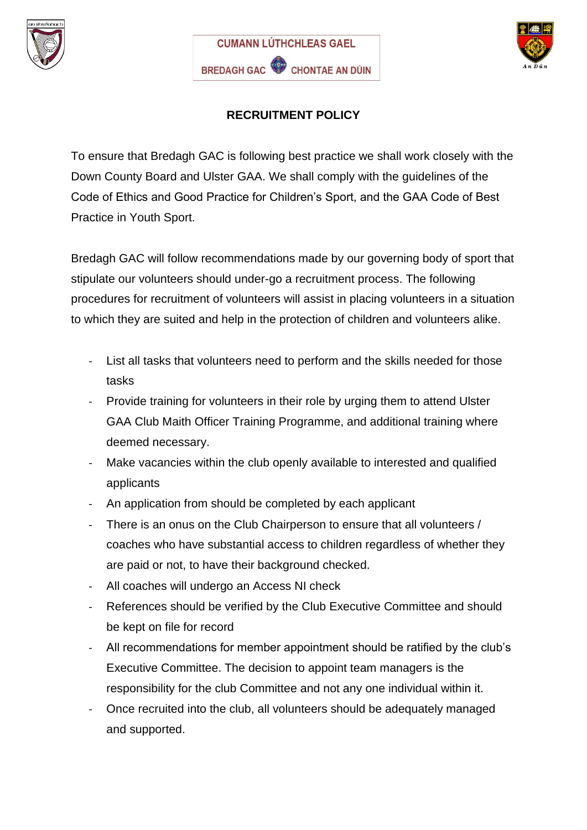





## **RECRUITMENT POLICY**

To ensure that Bredagh GAC is following best practice we shall work closely with the Down County Board and Ulster GAA. We shall comply with the guidelines of the Code of Ethics and Good Practice for Children's Sport, and the GAA Code of Best Practice in Youth Sport.

Bredagh GAC will follow recommendations made by our governing body of sport that stipulate our volunteers should under-go a recruitment process. The following procedures for recruitment of volunteers will assist in placing volunteers in a situation to which they are suited and help in the protection of children and volunteers alike.

- List all tasks that volunteers need to perform and the skills needed for those tasks
- Provide training for volunteers in their role by urging them to attend Ulster GAA Club Maith Officer Training Programme, and additional training where deemed necessary.
- Make vacancies within the club openly available to interested and qualified applicants
- An application from should be completed by each applicant
- There is an onus on the Club Chairperson to ensure that all volunteers / coaches who have substantial access to children regardless of whether they are paid or not, to have their background checked.
- All coaches will undergo an Access NI check
- References should be verified by the Club Executive Committee and should be kept on file for record
- All recommendations for member appointment should be ratified by the club's Executive Committee. The decision to appoint team managers is the responsibility for the club Committee and not any one individual within it.
- Once recruited into the club, all volunteers should be adequately managed and supported.